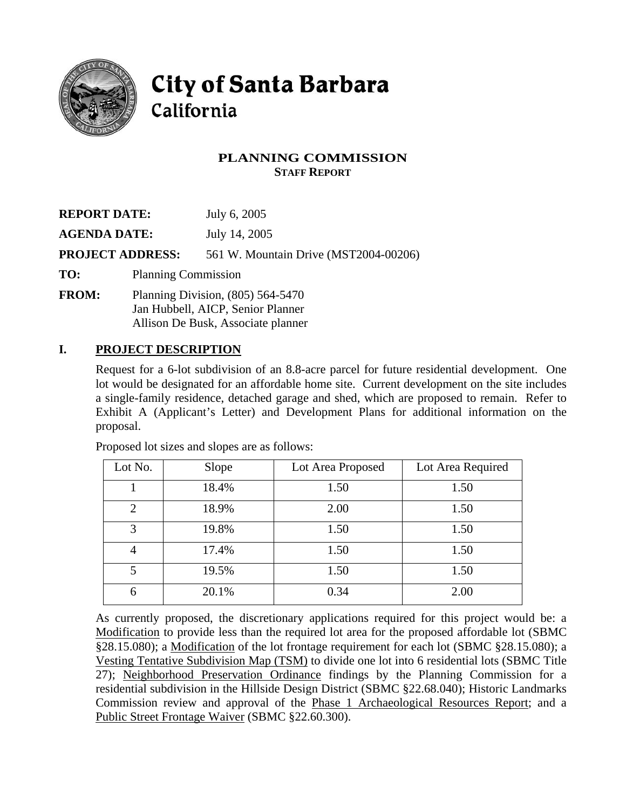

# **City of Santa Barbara** California

## **PLANNING COMMISSION STAFF REPORT**

| <b>REPORT DATE:</b>     |  | July 6, 2005                          |  |
|-------------------------|--|---------------------------------------|--|
| <b>AGENDA DATE:</b>     |  | July 14, 2005                         |  |
| <b>PROJECT ADDRESS:</b> |  | 561 W. Mountain Drive (MST2004-00206) |  |
| TO:                     |  | <b>Planning Commission</b>            |  |
| <b>FROM:</b>            |  | Planning Division, $(805)$ 564-5470   |  |

Jan Hubbell, AICP, Senior Planner Allison De Busk, Associate planner

#### **I. PROJECT DESCRIPTION**

Request for a 6-lot subdivision of an 8.8-acre parcel for future residential development. One lot would be designated for an affordable home site. Current development on the site includes a single-family residence, detached garage and shed, which are proposed to remain. Refer to Exhibit A (Applicant's Letter) and Development Plans for additional information on the proposal.

| Lot No.        | Slope | Lot Area Proposed | Lot Area Required |
|----------------|-------|-------------------|-------------------|
|                | 18.4% | 1.50              | 1.50              |
| 2              | 18.9% | 2.00              | 1.50              |
| 3              | 19.8% | 1.50              | 1.50              |
| $\overline{4}$ | 17.4% | 1.50              | 1.50              |
| 5              | 19.5% | 1.50              | 1.50              |
| 6              | 20.1% | 0.34              | 2.00              |

Proposed lot sizes and slopes are as follows:

As currently proposed, the discretionary applications required for this project would be: a Modification to provide less than the required lot area for the proposed affordable lot (SBMC §28.15.080); a Modification of the lot frontage requirement for each lot (SBMC §28.15.080); a Vesting Tentative Subdivision Map (TSM) to divide one lot into 6 residential lots (SBMC Title 27); Neighborhood Preservation Ordinance findings by the Planning Commission for a residential subdivision in the Hillside Design District (SBMC §22.68.040); Historic Landmarks Commission review and approval of the Phase 1 Archaeological Resources Report; and a Public Street Frontage Waiver (SBMC §22.60.300).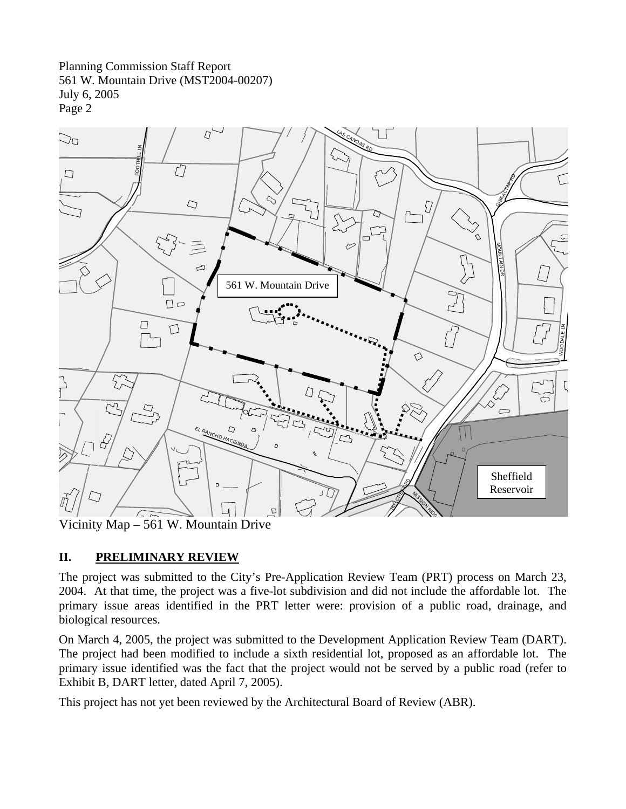Planning Commission Staff Report 561 W. Mountain Drive (MST2004-00207) July 6, 2005 Page 2



Vicinity Map –  $561$  W. Mountain Drive

# **II. PRELIMINARY REVIEW**

The project was submitted to the City's Pre-Application Review Team (PRT) process on March 23, 2004. At that time, the project was a five-lot subdivision and did not include the affordable lot. The primary issue areas identified in the PRT letter were: provision of a public road, drainage, and biological resources.

On March 4, 2005, the project was submitted to the Development Application Review Team (DART). The project had been modified to include a sixth residential lot, proposed as an affordable lot. The primary issue identified was the fact that the project would not be served by a public road (refer to Exhibit B, DART letter, dated April 7, 2005).

This project has not yet been reviewed by the Architectural Board of Review (ABR).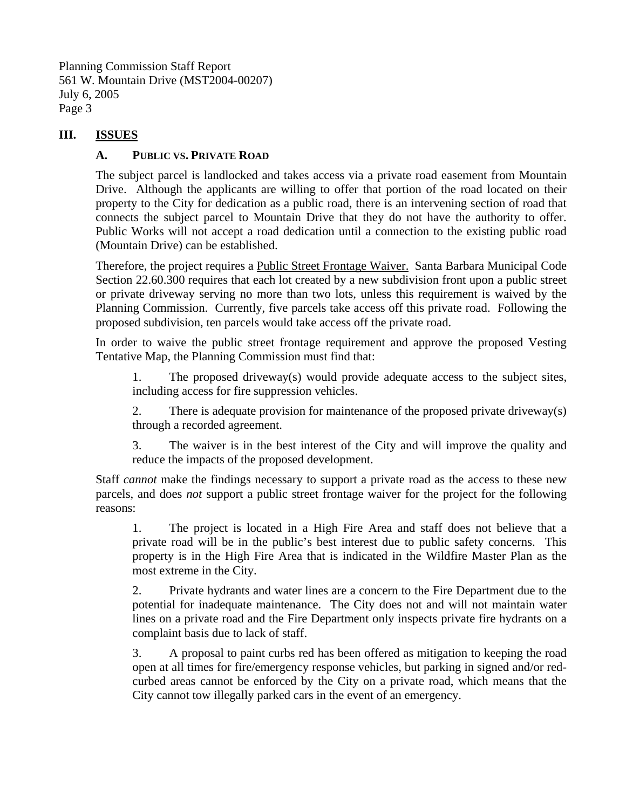Planning Commission Staff Report 561 W. Mountain Drive (MST2004-00207) July 6, 2005 Page 3

### **III. ISSUES**

### **A. PUBLIC VS. PRIVATE ROAD**

The subject parcel is landlocked and takes access via a private road easement from Mountain Drive. Although the applicants are willing to offer that portion of the road located on their property to the City for dedication as a public road, there is an intervening section of road that connects the subject parcel to Mountain Drive that they do not have the authority to offer. Public Works will not accept a road dedication until a connection to the existing public road (Mountain Drive) can be established.

Therefore, the project requires a Public Street Frontage Waiver. Santa Barbara Municipal Code Section 22.60.300 requires that each lot created by a new subdivision front upon a public street or private driveway serving no more than two lots, unless this requirement is waived by the Planning Commission. Currently, five parcels take access off this private road. Following the proposed subdivision, ten parcels would take access off the private road.

In order to waive the public street frontage requirement and approve the proposed Vesting Tentative Map, the Planning Commission must find that:

1. The proposed driveway(s) would provide adequate access to the subject sites, including access for fire suppression vehicles.

2. There is adequate provision for maintenance of the proposed private driveway(s) through a recorded agreement.

3. The waiver is in the best interest of the City and will improve the quality and reduce the impacts of the proposed development.

Staff *cannot* make the findings necessary to support a private road as the access to these new parcels, and does *not* support a public street frontage waiver for the project for the following reasons:

1. The project is located in a High Fire Area and staff does not believe that a private road will be in the public's best interest due to public safety concerns. This property is in the High Fire Area that is indicated in the Wildfire Master Plan as the most extreme in the City.

2. Private hydrants and water lines are a concern to the Fire Department due to the potential for inadequate maintenance. The City does not and will not maintain water lines on a private road and the Fire Department only inspects private fire hydrants on a complaint basis due to lack of staff.

3. A proposal to paint curbs red has been offered as mitigation to keeping the road open at all times for fire/emergency response vehicles, but parking in signed and/or redcurbed areas cannot be enforced by the City on a private road, which means that the City cannot tow illegally parked cars in the event of an emergency.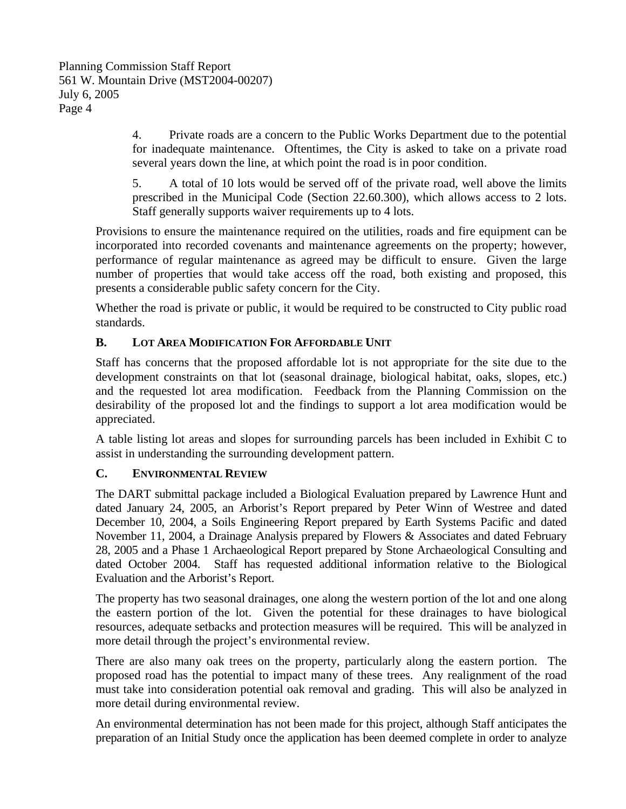4. Private roads are a concern to the Public Works Department due to the potential for inadequate maintenance. Oftentimes, the City is asked to take on a private road several years down the line, at which point the road is in poor condition.

5. A total of 10 lots would be served off of the private road, well above the limits prescribed in the Municipal Code (Section 22.60.300), which allows access to 2 lots. Staff generally supports waiver requirements up to 4 lots.

Provisions to ensure the maintenance required on the utilities, roads and fire equipment can be incorporated into recorded covenants and maintenance agreements on the property; however, performance of regular maintenance as agreed may be difficult to ensure. Given the large number of properties that would take access off the road, both existing and proposed, this presents a considerable public safety concern for the City.

Whether the road is private or public, it would be required to be constructed to City public road standards.

### **B. LOT AREA MODIFICATION FOR AFFORDABLE UNIT**

Staff has concerns that the proposed affordable lot is not appropriate for the site due to the development constraints on that lot (seasonal drainage, biological habitat, oaks, slopes, etc.) and the requested lot area modification. Feedback from the Planning Commission on the desirability of the proposed lot and the findings to support a lot area modification would be appreciated.

A table listing lot areas and slopes for surrounding parcels has been included in Exhibit C to assist in understanding the surrounding development pattern.

#### **C. ENVIRONMENTAL REVIEW**

The DART submittal package included a Biological Evaluation prepared by Lawrence Hunt and dated January 24, 2005, an Arborist's Report prepared by Peter Winn of Westree and dated December 10, 2004, a Soils Engineering Report prepared by Earth Systems Pacific and dated November 11, 2004, a Drainage Analysis prepared by Flowers & Associates and dated February 28, 2005 and a Phase 1 Archaeological Report prepared by Stone Archaeological Consulting and dated October 2004. Staff has requested additional information relative to the Biological Evaluation and the Arborist's Report.

The property has two seasonal drainages, one along the western portion of the lot and one along the eastern portion of the lot. Given the potential for these drainages to have biological resources, adequate setbacks and protection measures will be required. This will be analyzed in more detail through the project's environmental review.

There are also many oak trees on the property, particularly along the eastern portion. The proposed road has the potential to impact many of these trees. Any realignment of the road must take into consideration potential oak removal and grading. This will also be analyzed in more detail during environmental review.

An environmental determination has not been made for this project, although Staff anticipates the preparation of an Initial Study once the application has been deemed complete in order to analyze